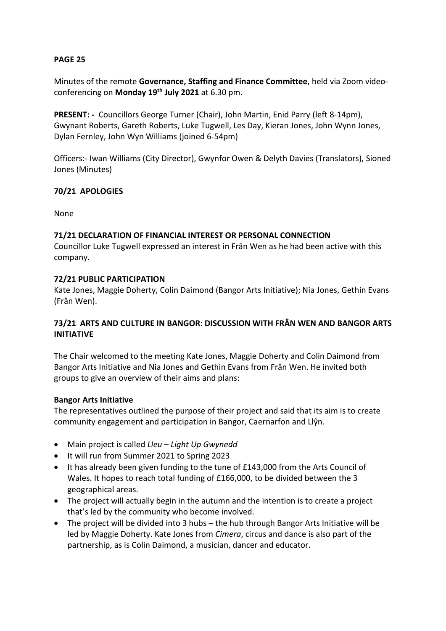## **PAGE 25**

Minutes of the remote **Governance, Staffing and Finance Committee**, held via Zoom videoconferencing on **Monday 19th July 2021** at 6.30 pm.

**PRESENT: -** Councillors George Turner (Chair), John Martin, Enid Parry (left 8-14pm), Gwynant Roberts, Gareth Roberts, Luke Tugwell, Les Day, Kieran Jones, John Wynn Jones, Dylan Fernley, John Wyn Williams (joined 6-54pm)

Officers:- Iwan Williams (City Director), Gwynfor Owen & Delyth Davies (Translators), Sioned Jones (Minutes)

## **70/21 APOLOGIES**

None

## **71/21 DECLARATION OF FINANCIAL INTEREST OR PERSONAL CONNECTION**

Councillor Luke Tugwell expressed an interest in Frân Wen as he had been active with this company.

#### **72/21 PUBLIC PARTICIPATION**

Kate Jones, Maggie Doherty, Colin Daimond (Bangor Arts Initiative); Nia Jones, Gethin Evans (Frân Wen).

## **73/21 ARTS AND CULTURE IN BANGOR: DISCUSSION WITH FRÂN WEN AND BANGOR ARTS INITIATIVE**

The Chair welcomed to the meeting Kate Jones, Maggie Doherty and Colin Daimond from Bangor Arts Initiative and Nia Jones and Gethin Evans from Frân Wen. He invited both groups to give an overview of their aims and plans:

#### **Bangor Arts Initiative**

The representatives outlined the purpose of their project and said that its aim is to create community engagement and participation in Bangor, Caernarfon and Llŷn.

- Main project is called *Lleu – Light Up Gwynedd*
- It will run from Summer 2021 to Spring 2023
- It has already been given funding to the tune of £143,000 from the Arts Council of Wales. It hopes to reach total funding of £166,000, to be divided between the 3 geographical areas.
- The project will actually begin in the autumn and the intention is to create a project that's led by the community who become involved.
- The project will be divided into 3 hubs the hub through Bangor Arts Initiative will be led by Maggie Doherty. Kate Jones from *Cimera*, circus and dance is also part of the partnership, as is Colin Daimond, a musician, dancer and educator.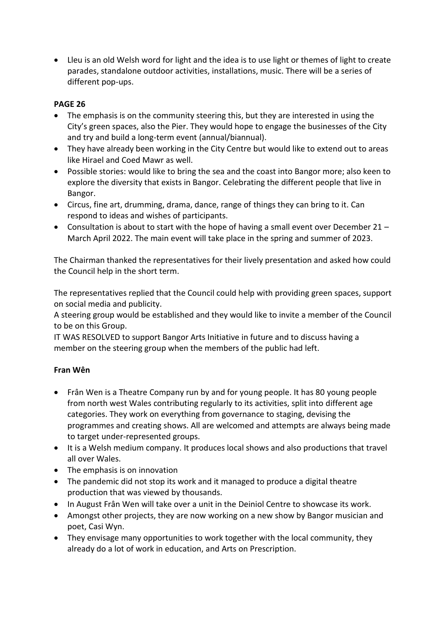Lleu is an old Welsh word for light and the idea is to use light or themes of light to create parades, standalone outdoor activities, installations, music. There will be a series of different pop-ups.

# **PAGE 26**

- The emphasis is on the community steering this, but they are interested in using the City's green spaces, also the Pier. They would hope to engage the businesses of the City and try and build a long-term event (annual/biannual).
- They have already been working in the City Centre but would like to extend out to areas like Hirael and Coed Mawr as well.
- Possible stories: would like to bring the sea and the coast into Bangor more; also keen to explore the diversity that exists in Bangor. Celebrating the different people that live in Bangor.
- Circus, fine art, drumming, drama, dance, range of things they can bring to it. Can respond to ideas and wishes of participants.
- Consultation is about to start with the hope of having a small event over December 21 March April 2022. The main event will take place in the spring and summer of 2023.

The Chairman thanked the representatives for their lively presentation and asked how could the Council help in the short term.

The representatives replied that the Council could help with providing green spaces, support on social media and publicity.

A steering group would be established and they would like to invite a member of the Council to be on this Group.

IT WAS RESOLVED to support Bangor Arts Initiative in future and to discuss having a member on the steering group when the members of the public had left.

## **Fran Wên**

- Frân Wen is a Theatre Company run by and for young people. It has 80 young people from north west Wales contributing regularly to its activities, split into different age categories. They work on everything from governance to staging, devising the programmes and creating shows. All are welcomed and attempts are always being made to target under-represented groups.
- It is a Welsh medium company. It produces local shows and also productions that travel all over Wales.
- The emphasis is on innovation
- The pandemic did not stop its work and it managed to produce a digital theatre production that was viewed by thousands.
- In August Frân Wen will take over a unit in the Deiniol Centre to showcase its work.
- Amongst other projects, they are now working on a new show by Bangor musician and poet, Casi Wyn.
- They envisage many opportunities to work together with the local community, they already do a lot of work in education, and Arts on Prescription.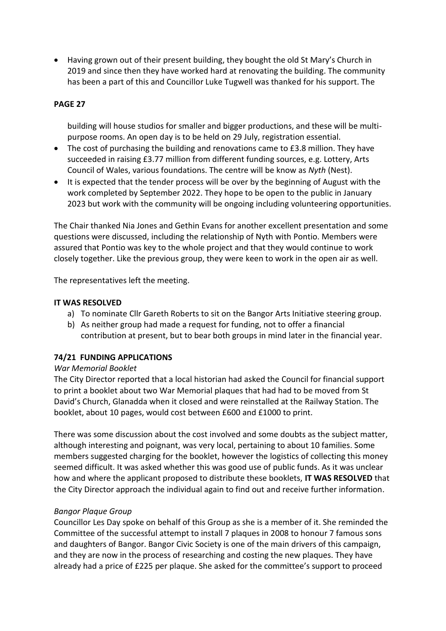Having grown out of their present building, they bought the old St Mary's Church in 2019 and since then they have worked hard at renovating the building. The community has been a part of this and Councillor Luke Tugwell was thanked for his support. The

#### **PAGE 27**

building will house studios for smaller and bigger productions, and these will be multipurpose rooms. An open day is to be held on 29 July, registration essential.

- The cost of purchasing the building and renovations came to £3.8 million. They have succeeded in raising £3.77 million from different funding sources, e.g. Lottery, Arts Council of Wales, various foundations. The centre will be know as *Nyth* (Nest).
- It is expected that the tender process will be over by the beginning of August with the work completed by September 2022. They hope to be open to the public in January 2023 but work with the community will be ongoing including volunteering opportunities.

The Chair thanked Nia Jones and Gethin Evans for another excellent presentation and some questions were discussed, including the relationship of Nyth with Pontio. Members were assured that Pontio was key to the whole project and that they would continue to work closely together. Like the previous group, they were keen to work in the open air as well.

The representatives left the meeting.

#### **IT WAS RESOLVED**

- a) To nominate Cllr Gareth Roberts to sit on the Bangor Arts Initiative steering group.
- b) As neither group had made a request for funding, not to offer a financial contribution at present, but to bear both groups in mind later in the financial year.

## **74/21 FUNDING APPLICATIONS**

#### *War Memorial Booklet*

The City Director reported that a local historian had asked the Council for financial support to print a booklet about two War Memorial plaques that had had to be moved from St David's Church, Glanadda when it closed and were reinstalled at the Railway Station. The booklet, about 10 pages, would cost between £600 and £1000 to print.

There was some discussion about the cost involved and some doubts as the subject matter, although interesting and poignant, was very local, pertaining to about 10 families. Some members suggested charging for the booklet, however the logistics of collecting this money seemed difficult. It was asked whether this was good use of public funds. As it was unclear how and where the applicant proposed to distribute these booklets, **IT WAS RESOLVED** that the City Director approach the individual again to find out and receive further information.

#### *Bangor Plaque Group*

Councillor Les Day spoke on behalf of this Group as she is a member of it. She reminded the Committee of the successful attempt to install 7 plaques in 2008 to honour 7 famous sons and daughters of Bangor. Bangor Civic Society is one of the main drivers of this campaign, and they are now in the process of researching and costing the new plaques. They have already had a price of £225 per plaque. She asked for the committee's support to proceed